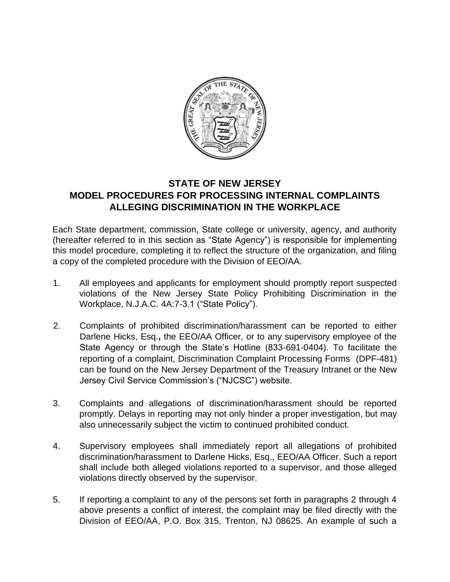

## **STATE OF NEW JERSEY MODEL PROCEDURES FOR PROCESSING INTERNAL COMPLAINTS ALLEGING DISCRIMINATION IN THE WORKPLACE**

Each State department, commission, State college or university, agency, and authority (hereafter referred to in this section as "State Agency") is responsible for implementing this model procedure, completing it to reflect the structure of the organization, and filing a copy of the completed procedure with the Division of EEO/AA.

- 1. All employees and applicants for employment should promptly report suspected violations of the New Jersey State Policy Prohibiting Discrimination in the Workplace, N.J.A.C. 4A:7-3.1 ("State Policy").
- 2. Complaints of prohibited discrimination/harassment can be reported to either Darlene Hicks, Esq.**,** the EEO/AA Officer, or to any supervisory employee of the State Agency or through the State's Hotline (833-691-0404). To facilitate the reporting of a complaint, Discrimination Complaint Processing Forms (DPF-481) can be found on the New Jersey Department of the Treasury Intranet or the New Jersey Civil Service Commission's ("NJCSC") website.
- 3. Complaints and allegations of discrimination/harassment should be reported promptly. Delays in reporting may not only hinder a proper investigation, but may also unnecessarily subject the victim to continued prohibited conduct.
- 4. Supervisory employees shall immediately report all allegations of prohibited discrimination/harassment to Darlene Hicks, Esq., EEO/AA Officer. Such a report shall include both alleged violations reported to a supervisor, and those alleged violations directly observed by the supervisor.
- 5. If reporting a complaint to any of the persons set forth in paragraphs 2 through 4 above presents a conflict of interest, the complaint may be filed directly with the Division of EEO/AA, P.O. Box 315, Trenton, NJ 08625. An example of such a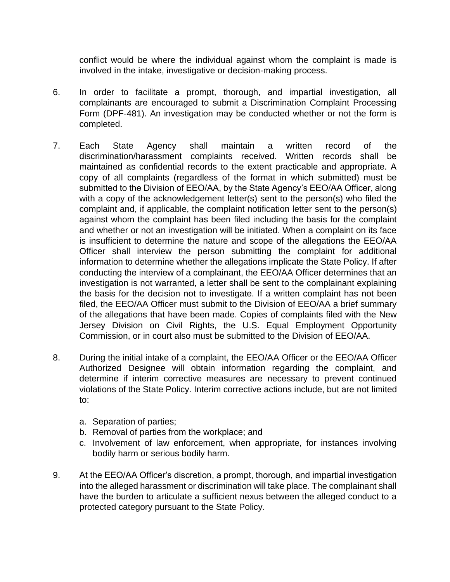conflict would be where the individual against whom the complaint is made is involved in the intake, investigative or decision-making process.

- 6. In order to facilitate a prompt, thorough, and impartial investigation, all complainants are encouraged to submit a Discrimination Complaint Processing Form (DPF-481). An investigation may be conducted whether or not the form is completed.
- 7. Each State Agency shall maintain a written record of the discrimination/harassment complaints received. Written records shall be maintained as confidential records to the extent practicable and appropriate. A copy of all complaints (regardless of the format in which submitted) must be submitted to the Division of EEO/AA, by the State Agency's EEO/AA Officer, along with a copy of the acknowledgement letter(s) sent to the person(s) who filed the complaint and, if applicable, the complaint notification letter sent to the person(s) against whom the complaint has been filed including the basis for the complaint and whether or not an investigation will be initiated. When a complaint on its face is insufficient to determine the nature and scope of the allegations the EEO/AA Officer shall interview the person submitting the complaint for additional information to determine whether the allegations implicate the State Policy. If after conducting the interview of a complainant, the EEO/AA Officer determines that an investigation is not warranted, a letter shall be sent to the complainant explaining the basis for the decision not to investigate. If a written complaint has not been filed, the EEO/AA Officer must submit to the Division of EEO/AA a brief summary of the allegations that have been made. Copies of complaints filed with the New Jersey Division on Civil Rights, the U.S. Equal Employment Opportunity Commission, or in court also must be submitted to the Division of EEO/AA.
- 8. During the initial intake of a complaint, the EEO/AA Officer or the EEO/AA Officer Authorized Designee will obtain information regarding the complaint, and determine if interim corrective measures are necessary to prevent continued violations of the State Policy. Interim corrective actions include, but are not limited to:
	- a. Separation of parties;
	- b. Removal of parties from the workplace; and
	- c. Involvement of law enforcement, when appropriate, for instances involving bodily harm or serious bodily harm.
- 9. At the EEO/AA Officer's discretion, a prompt, thorough, and impartial investigation into the alleged harassment or discrimination will take place. The complainant shall have the burden to articulate a sufficient nexus between the alleged conduct to a protected category pursuant to the State Policy.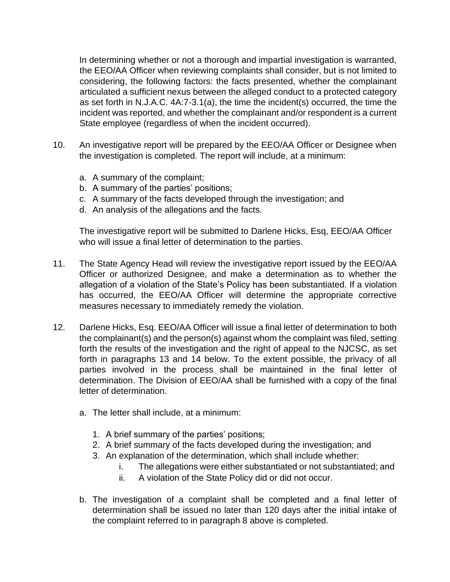In determining whether or not a thorough and impartial investigation is warranted, the EEO/AA Officer when reviewing complaints shall consider, but is not limited to considering, the following factors: the facts presented, whether the complainant articulated a sufficient nexus between the alleged conduct to a protected category as set forth in N.J.A.C. 4A:7-3.1(a), the time the incident(s) occurred, the time the incident was reported, and whether the complainant and/or respondent is a current State employee (regardless of when the incident occurred).

- 10. An investigative report will be prepared by the EEO/AA Officer or Designee when the investigation is completed. The report will include, at a minimum:
	- a. A summary of the complaint;
	- b. A summary of the parties' positions;
	- c. A summary of the facts developed through the investigation; and
	- d. An analysis of the allegations and the facts.

The investigative report will be submitted to Darlene Hicks, Esq, EEO/AA Officer who will issue a final letter of determination to the parties.

- 11. The State Agency Head will review the investigative report issued by the EEO/AA Officer or authorized Designee, and make a determination as to whether the allegation of a violation of the State's Policy has been substantiated. If a violation has occurred, the EEO/AA Officer will determine the appropriate corrective measures necessary to immediately remedy the violation.
- 12. Darlene Hicks, Esq. EEO/AA Officer will issue a final letter of determination to both the complainant(s) and the person(s) against whom the complaint was filed, setting forth the results of the investigation and the right of appeal to the NJCSC, as set forth in paragraphs 13 and 14 below. To the extent possible, the privacy of all parties involved in the process shall be maintained in the final letter of determination. The Division of EEO/AA shall be furnished with a copy of the final letter of determination.
	- a. The letter shall include, at a minimum:
		- 1. A brief summary of the parties' positions;
		- 2. A brief summary of the facts developed during the investigation; and
		- 3. An explanation of the determination, which shall include whether:
			- i. The allegations were either substantiated or not substantiated; and
			- ii. A violation of the State Policy did or did not occur.
	- b. The investigation of a complaint shall be completed and a final letter of determination shall be issued no later than 120 days after the initial intake of the complaint referred to in paragraph 8 above is completed.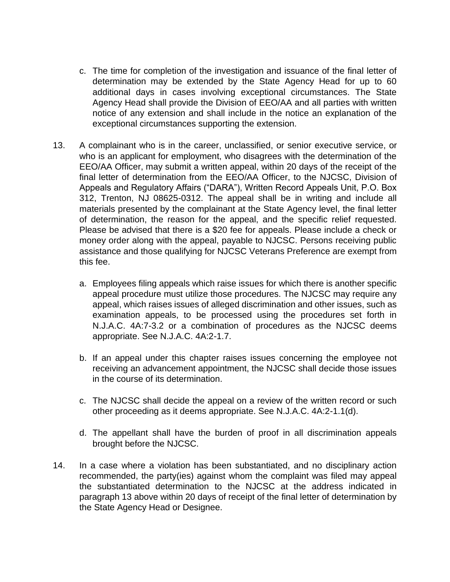- c. The time for completion of the investigation and issuance of the final letter of determination may be extended by the State Agency Head for up to 60 additional days in cases involving exceptional circumstances. The State Agency Head shall provide the Division of EEO/AA and all parties with written notice of any extension and shall include in the notice an explanation of the exceptional circumstances supporting the extension.
- 13. A complainant who is in the career, unclassified, or senior executive service, or who is an applicant for employment, who disagrees with the determination of the EEO/AA Officer, may submit a written appeal, within 20 days of the receipt of the final letter of determination from the EEO/AA Officer, to the NJCSC, Division of Appeals and Regulatory Affairs ("DARA"), Written Record Appeals Unit, P.O. Box 312, Trenton, NJ 08625-0312. The appeal shall be in writing and include all materials presented by the complainant at the State Agency level, the final letter of determination, the reason for the appeal, and the specific relief requested. Please be advised that there is a \$20 fee for appeals. Please include a check or money order along with the appeal, payable to NJCSC. Persons receiving public assistance and those qualifying for NJCSC Veterans Preference are exempt from this fee.
	- a. Employees filing appeals which raise issues for which there is another specific appeal procedure must utilize those procedures. The NJCSC may require any appeal, which raises issues of alleged discrimination and other issues, such as examination appeals, to be processed using the procedures set forth in N.J.A.C. 4A:7-3.2 or a combination of procedures as the NJCSC deems appropriate. See N.J.A.C. 4A:2-1.7.
	- b. If an appeal under this chapter raises issues concerning the employee not receiving an advancement appointment, the NJCSC shall decide those issues in the course of its determination.
	- c. The NJCSC shall decide the appeal on a review of the written record or such other proceeding as it deems appropriate. See N.J.A.C. 4A:2-1.1(d).
	- d. The appellant shall have the burden of proof in all discrimination appeals brought before the NJCSC.
- 14. In a case where a violation has been substantiated, and no disciplinary action recommended, the party(ies) against whom the complaint was filed may appeal the substantiated determination to the NJCSC at the address indicated in paragraph 13 above within 20 days of receipt of the final letter of determination by the State Agency Head or Designee.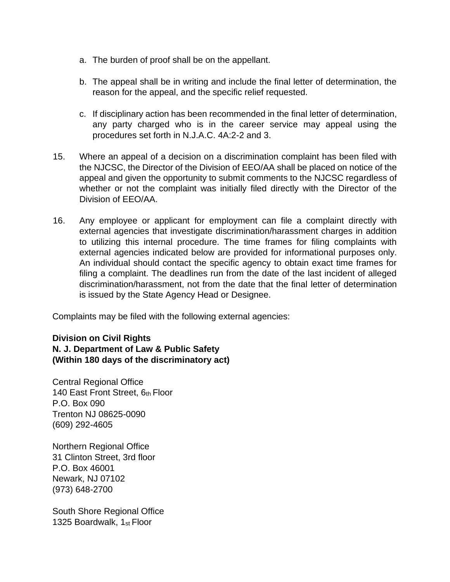- a. The burden of proof shall be on the appellant.
- b. The appeal shall be in writing and include the final letter of determination, the reason for the appeal, and the specific relief requested.
- c. If disciplinary action has been recommended in the final letter of determination, any party charged who is in the career service may appeal using the procedures set forth in N.J.A.C. 4A:2-2 and 3.
- 15. Where an appeal of a decision on a discrimination complaint has been filed with the NJCSC, the Director of the Division of EEO/AA shall be placed on notice of the appeal and given the opportunity to submit comments to the NJCSC regardless of whether or not the complaint was initially filed directly with the Director of the Division of EEO/AA.
- 16. Any employee or applicant for employment can file a complaint directly with external agencies that investigate discrimination/harassment charges in addition to utilizing this internal procedure. The time frames for filing complaints with external agencies indicated below are provided for informational purposes only. An individual should contact the specific agency to obtain exact time frames for filing a complaint. The deadlines run from the date of the last incident of alleged discrimination/harassment, not from the date that the final letter of determination is issued by the State Agency Head or Designee.

Complaints may be filed with the following external agencies:

**Division on Civil Rights N. J. Department of Law & Public Safety (Within 180 days of the discriminatory act)** 

Central Regional Office 140 East Front Street, 6th Floor P.O. Box 090 Trenton NJ 08625-0090 (609) 292-4605

Northern Regional Office 31 Clinton Street, 3rd floor P.O. Box 46001 Newark, NJ 07102 (973) 648-2700

South Shore Regional Office 1325 Boardwalk, 1<sub>st</sub> Floor